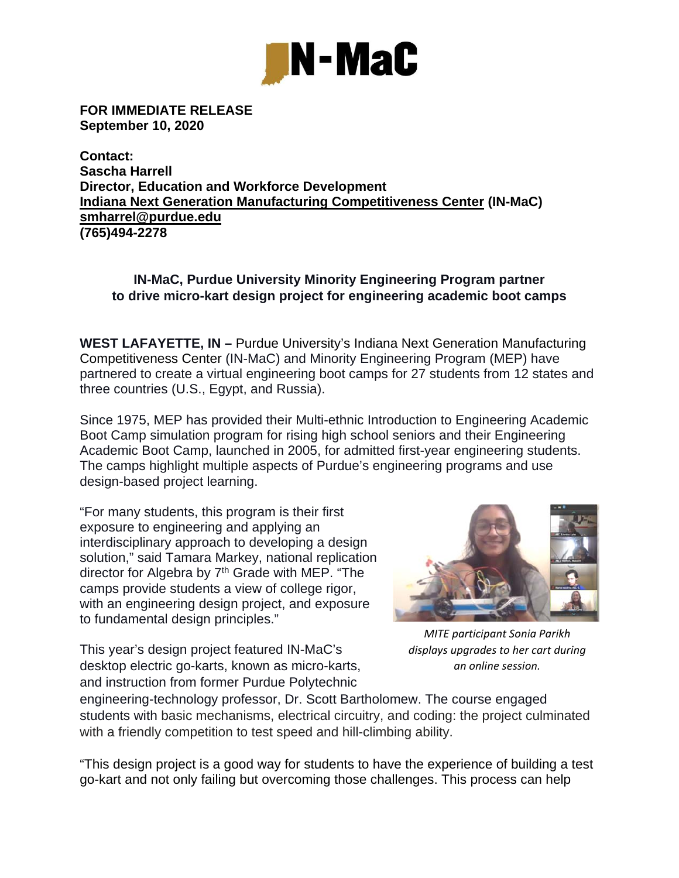

**FOR IMMEDIATE RELEASE September 10, 2020** 

**Contact: Sascha Harrell Director, Education and Workforce Development Indiana Next Generation Manufacturing Competitiveness Center (IN-MaC) smharrel@purdue.edu (765)494-2278** 

## **IN-MaC, Purdue University Minority Engineering Program partner to drive micro-kart design project for engineering academic boot camps**

**WEST LAFAYETTE, IN –** Purdue University's Indiana Next Generation Manufacturing Competitiveness Center (IN-MaC) and Minority Engineering Program (MEP) have partnered to create a virtual engineering boot camps for 27 students from 12 states and three countries (U.S., Egypt, and Russia).

Since 1975, MEP has provided their Multi-ethnic Introduction to Engineering Academic Boot Camp simulation program for rising high school seniors and their Engineering Academic Boot Camp, launched in 2005, for admitted first-year engineering students. The camps highlight multiple aspects of Purdue's engineering programs and use design-based project learning.

"For many students, this program is their first exposure to engineering and applying an interdisciplinary approach to developing a design solution," said Tamara Markey, national replication director for Algebra by 7<sup>th</sup> Grade with MEP. "The camps provide students a view of college rigor, with an engineering design project, and exposure to fundamental design principles."



This year's design project featured IN-MaC's desktop electric go-karts, known as micro-karts, and instruction from former Purdue Polytechnic

*MITE participant Sonia Parikh displays upgrades to her cart during an online session.*

engineering-technology professor, Dr. Scott Bartholomew. The course engaged students with basic mechanisms, electrical circuitry, and coding: the project culminated with a friendly competition to test speed and hill-climbing ability.

"This design project is a good way for students to have the experience of building a test go-kart and not only failing but overcoming those challenges. This process can help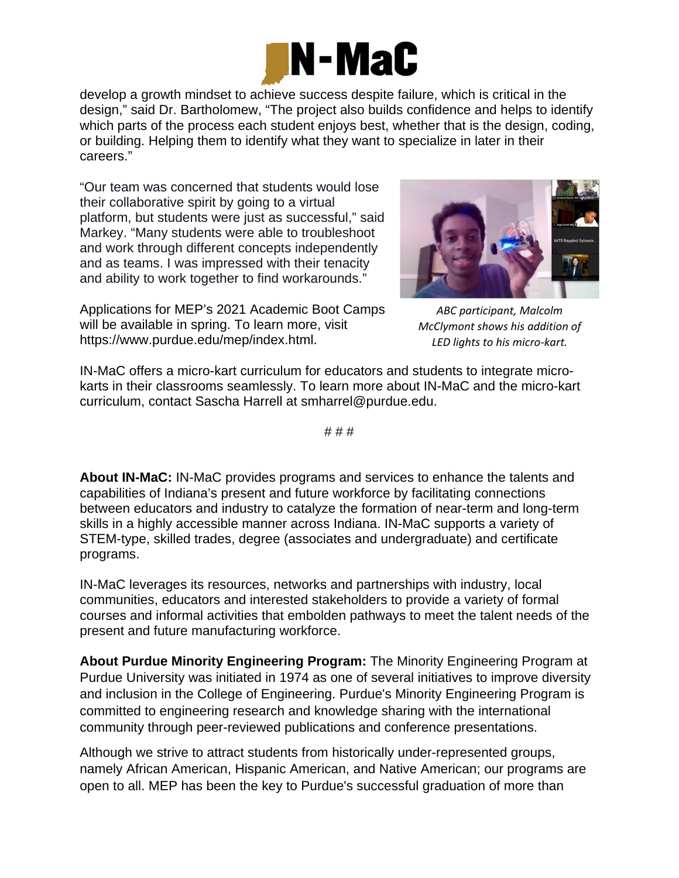

develop a growth mindset to achieve success despite failure, which is critical in the design," said Dr. Bartholomew, "The project also builds confidence and helps to identify which parts of the process each student enjoys best, whether that is the design, coding, or building. Helping them to identify what they want to specialize in later in their careers."

"Our team was concerned that students would lose their collaborative spirit by going to a virtual platform, but students were just as successful," said Markey. "Many students were able to troubleshoot and work through different concepts independently and as teams. I was impressed with their tenacity and ability to work together to find workarounds."

Applications for MEP's 2021 Academic Boot Camps will be available in spring. To learn more, visit https://www.purdue.edu/mep/index.html.



*ABC participant, Malcolm McClymont shows his addition of LED lights to his micro‐kart.*

IN-MaC offers a micro-kart curriculum for educators and students to integrate microkarts in their classrooms seamlessly. To learn more about IN-MaC and the micro-kart curriculum, contact Sascha Harrell at smharrel@purdue.edu.

# # #

**About IN-MaC:** IN-MaC provides programs and services to enhance the talents and capabilities of Indiana's present and future workforce by facilitating connections between educators and industry to catalyze the formation of near-term and long-term skills in a highly accessible manner across Indiana. IN-MaC supports a variety of STEM-type, skilled trades, degree (associates and undergraduate) and certificate programs.

IN-MaC leverages its resources, networks and partnerships with industry, local communities, educators and interested stakeholders to provide a variety of formal courses and informal activities that embolden pathways to meet the talent needs of the present and future manufacturing workforce.

**About Purdue Minority Engineering Program:** The Minority Engineering Program at Purdue University was initiated in 1974 as one of several initiatives to improve diversity and inclusion in the College of Engineering. Purdue's Minority Engineering Program is committed to engineering research and knowledge sharing with the international community through peer-reviewed publications and conference presentations.

Although we strive to attract students from historically under-represented groups, namely African American, Hispanic American, and Native American; our programs are open to all. MEP has been the key to Purdue's successful graduation of more than